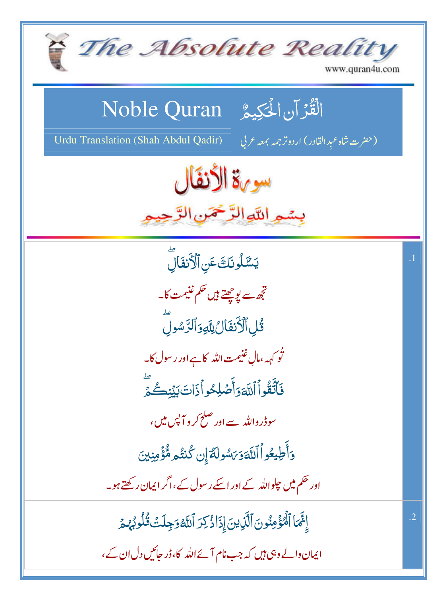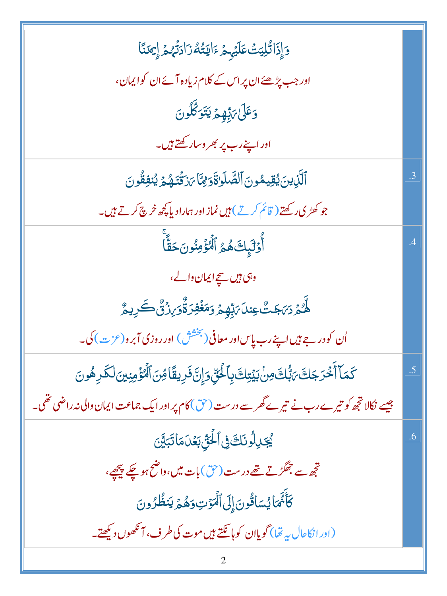| وَإِذَاتُلِيَتُ عَلَيْهِمْ ءَايَتُهُ زَادَتُهُمْ إِيمَنَّا                                                     |                 |
|----------------------------------------------------------------------------------------------------------------|-----------------|
| اور جب پڑھئے ان پر اس کے کلام زیادہ آئے ان کوایمان،                                                            |                 |
| وَعَلَىٰ يَٰٓبِهِمۡ يَتَوَكَّلُونَ                                                                             |                 |
| اور اپنے رب پر بھر وسارکھتے ہیں۔                                                                               |                 |
| ٱلَّٰٓزِينَ يُقِيمُونَ ٱلصَّلَوٰٰةَوَمِّيَّا يَرْتَّنَوْهُمَّ يُنْفِقُونَ                                      | .3              |
| جو کھڑی رکھتے ( قائم کرتے ) ہیں نماز اور ہمارادیا کچھ خرچ کرتے ہیں۔                                            |                 |
| أُوَلَٰٓبِكَ هُمُ ٱلۡهُؤۡمِنُونَ حَقًّا                                                                        | $\cdot^4$       |
| وہی ہیں <u>سچ</u> ایمان والے،                                                                                  |                 |
| ڵ <i>۠ؖڵ۠ۮٙ</i> ڒ <i>؆ڿؾ۠۠</i> ۼؚڹڶ <i>؆ؚڹؚۨڥؚٛۮٙ</i> ؚۯڡؘ <del>ڬ</del> ۘڣؚۯۊٚ۠ۘۯ <sub>ؘڒ</sub> ۯ۬ڽ۠ٛ۠ۛ؎ؘڔؚۑۯ۠ |                 |
| اُن کو در جے ہیں اپنے رب پاِس اور معافی (بخشش ) اور روزی آبرو(عزت) کی۔<br>۔                                    |                 |
| ػٙڡؘٵۧٲۘڂ <i>ڎ</i> ؚڿڬ؆ؠۨ۠ڶڰؘڡؚڹؗڹؽٙؾؚڬڽٳٵۘڂؙڹؚۜ؋ٳؚڹۜٞڣؘڔؚؠڦؘٲڡؚۨڹٲڷؙ <i>ڡ۠</i> ٶٝۄڹؽڹڷػڔۿؙۅڹ                  | $\overline{.5}$ |
| جیسے نکالا تجھ کو تیرے رب نے تیرے گھرسے درست (حق) کام پر اور ایک جماعت ایمان والی نہ راضی تھی۔                 |                 |
| يُجَدِلُونَكَ فِى ٱلْحَقِّ بَعَدَ مَاتَبَيَّنَ                                                                 | .6              |
| تجھ سے جھگڑتے تھے درست (حق) بات میں،واضح ہوچکے پیچھے،                                                          |                 |
| كَأَنَّمَا يُسَائُونَ إِلَى ٱلْمَوْتِ وَهُمْ يَنظُرُونَ                                                        |                 |
| (ادرانکاحال بہ تھا) گویاان کوہائلتے ہیں موت کی طرف، آنکھوں دیکھتے۔                                             |                 |
|                                                                                                                |                 |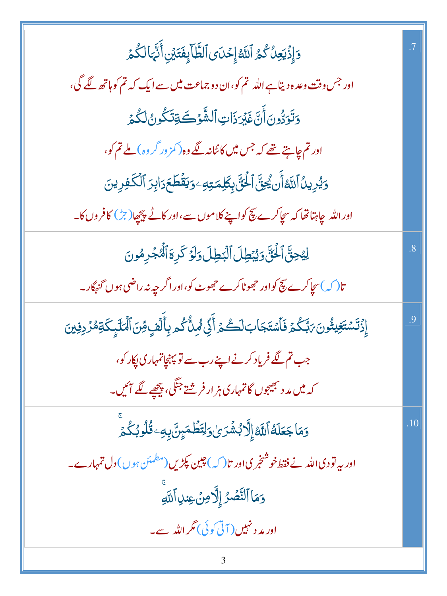| وَإِذۡيَعِنُ كُمُ ٱللَّهُۚ إِحۡدَى ٱلظَّابِفَتَيۡنِ أَنَّهَالَكُمۡ                         |                |
|--------------------------------------------------------------------------------------------|----------------|
| اور جس وقت وعدہ دیتاہے اللہ تم کو،ان دو جماعت میں سے ایک کہ تم کو ہاتھ لگے گی،             |                |
| وَتَوَدُّونَ أَنَّ غَيْرَذَاتِ ٱلشَّوۡكَةِتَكُونُ لَكُمۡ                                   |                |
| اور تم چاہتے تھے کہ جس میں کا نٹانہ لگے وہ(کمز ور گر وہ) ملے تم کو،                        |                |
| <b>وَيُرِينُ ٱللَّهُ أَن يُجِقَّ ٱلْحَقَّ بِكَلِمَتِهِ وَيَقْطَحَ دَابِرَ ٱلْكَفِرِينَ</b> |                |
| اور الله جاہتا تھا کہ سچاکرے پیچ کواپنے کلاموں سے،اور کاٹے پیچھا(جڑ) کافروں کا۔            |                |
| لِيُحِنَّ الْحَنَّ وَيُبْطِلَ الْبَطِلَ وَلَوَ كَرِهَ الْمُجْرِمُونَ                       | $\overline{8}$ |
| تا( کہ )سچاکرے پیچ کواور حجھوٹاکرے حجھوٹ کو،اور اگر چپہ نہ راضی ہوں گنہگار۔                |                |
| ٳؚۣۯ۬ڐؘۺؾؘۼؚؽڎ۠ۅڹؘ؆۪ڹۜػۢؽ؋ؘٲۺؾؘڿٳڹڶػڞؽ؋ۧڵۣٙڷۿۑڷۨػ۠ڡڔۑؚٲۜڷٙڣٟ؋ڗڹٱڷڡڶٙؠٟػۊڡ۠ۯڔڣؾڹ            | 9.             |
| جب تم لگے فریاد کرنے اپنے رب سے تو پہنچاتمہاری پکار کو،                                    |                |
| کہ میں مد د بھیجوں گا تمہاری ہز ار فر شتے جنگی، پ <u>چھ</u> ے لگے ائیں۔                    |                |
| <u>و</u> َمَاجَعَلَهُ الَّةَ إِلَّابُشُرَىٰ وَلِتَطْمَيِنَّ بِهِۦ قُلُوبُكُمُ              | .10            |
| اور بیہ تو دی اللہ نے فقط خوشنجری اور تا $\mathcal{L}$ ) چین پکڑیں(مطمئن ہوں) دل تمہارے۔   |                |
| وَمَا ٱلنَّصۡرُ إِلَّا مِنۡ عِنلِ ٱللَّهِ                                                  |                |
| اور مد د نہیں ( آتی کوئی) مگر اللہ سے۔                                                     |                |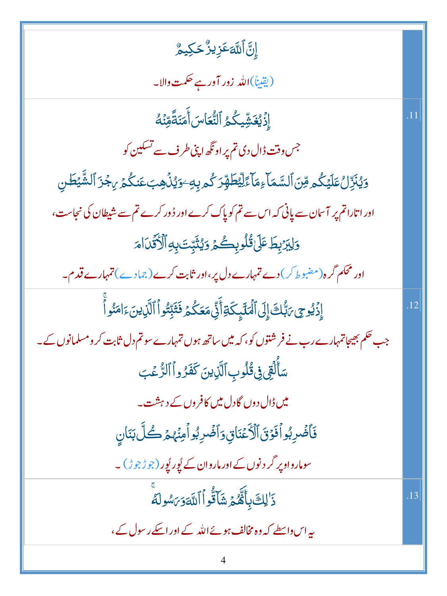| ٳۣڹؖٞٳؖڶڶڶۜ؋ػڒٟڽڒ۠ۘڂؼۑۿ۠                                                                         |     |
|--------------------------------------------------------------------------------------------------|-----|
| (يقيناً)الله <mark>زور آور ہے حکمت وال</mark> ا۔                                                 |     |
| إِذۡيُغَشِّيكُمُ ٱلنُّعَاسَ أَمَنَةً مِّنۡهُ                                                     |     |
| جس وقت ڈال دی تم پر اونگھ اپنی طرف سے تسکین کو                                                   |     |
| <u>ۅ</u> ؽ۠ڹۜڒؚڶؙٵؘڮػ۠ۄڡؚڹٲڶۺۜڡؘٲۦؚڡؘٲٵؚٙڵؚؿڟۨۿؚڗػ۠ۄۑؚڮٷؽ۠ۮؙۿؚڹۼڹػؙۮ <sub>ؙٙ</sub> ؆ؚڿۯؘٲڵۺ۠ۜؽڟڹ |     |
| اور اتاراتم پر آسان سے پانی کہ اس سے تم کو پاک کرے اور دُور کرے تم سے شیطان کی نجاست،            |     |
| وَلِبَرْبِطَ عَلَىٰ قُلُوبِكُمُ وَيُثَبِّتَ بِهِ ٱلْأَقَّدَامَ                                   |     |
| اور محکم گرہ(مضبوط کر) دے تمہارے دل پر،اور ثابت کرے( جمادے) تمہارے قدم۔                          |     |
| إِذۡ يُوحِى رَبُّكَ إِلَى ٱلۡمَٰٓلَـٰٓبِكَةِأَنِّيۡ مَعَكُمۡ فَثَبِّتُواۡ ٱلَّذِينَ ءَامَنُواۡ   | .12 |
| جب حکم بھیجاتمہارے رب نے فرشنتوں کو، کہ میں ساتھ ہوں تمہارے سوتم دل ثابت کر ومسلمانوں کے۔        |     |
| سَأَلُقِي فِي قُلُوبِ ٱلَّذِينَ كَفَرُواْ ٱلرُّعۡبَ                                              |     |
| میں ڈال دوں گا دل میں کافر وں کے دہشت۔                                                           |     |
| فَأَضُرِبُواْفَوْقَ ٱلْأَعْنَاقِ وَأَضُرِبُواْمِنْهُمْ كُلَّ بَنَانِ                             |     |
| سومارواوپر گر د نوں کے اور ماروان کے لُور لُور (جوڑجوڑ) ۔                                        |     |
| ذَ <sup>ا</sup> لِكَ بِأَثَّهُمۡ شَآَتُّواۡ ٱللَّٰٓ وَبَاسُولَهُ                                 | .13 |
| یہ اس واسطے کہ وہ مخالف ہوئے اللہ کے اور اسکے رسول کے،                                           |     |
| 4                                                                                                |     |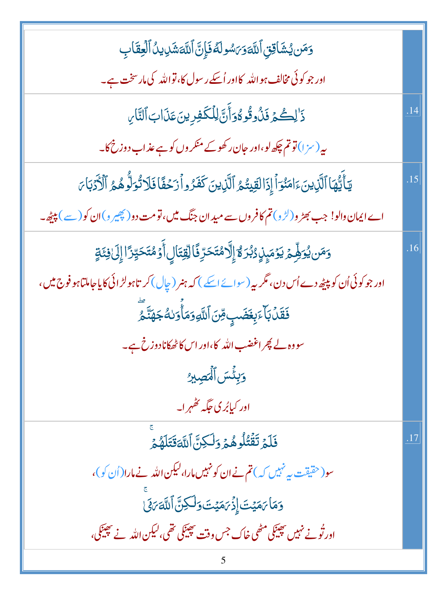| وَمَن يُشَاقِنِ ٱللَّهَوَىَسُولَهُ فَإِنَّ ٱللَّهَشَٰدِينُ ٱلۡفِقَابِ                                              |     |
|--------------------------------------------------------------------------------------------------------------------|-----|
| اور جو کوئی مخالف ہو اللہ کااور اُسکے رسول کا، تواللہ کی مارسخت ہے۔                                                |     |
| ذَ لِكُمْ فَذُوقُوهُوَأَنَّ لِلْكَفِرِينَ عَذَابَ ٱلتَّارِ                                                         | .14 |
| یہ (سزا) توتم چکھ لو،اور جان رکھوکے منکر وں کو ہے عذاب دوزخ کا۔                                                    |     |
| يَأَيُّهَا ٱلَّذِينَءَامَنُوَٱ إِذَالَقِيتُمُ ٱلَّذِينَ كَفَرُواْزَحُفَّافَلَاتُوَلُّوهُمُ ٱلْأَدَبَامَ            | .15 |
| اے ایمان دالو! جب بھڑ و(لڑ و) تم کافر وں سے مید ان جنگ میں، تو مت دو( چیبر و)ان کو( سے ) پیٹھ ۔                    |     |
| <u>و</u> َمَن يُوَلِّمِ يَوۡمَبِنِۚ دُبُرَ مُٓٓٓ إِلَّا مُتَحَرِّفَاۚ لِّقِتَالِ أَوۡ مُتَحَيِّرَۚ ا إِلَىٰ فِئَةٍ | .16 |
| اور جو کوئی اُن کو پیپٹھ دے اُس دن، مگر یہ (سوائے اسکے ) کہ ہنر (چال) کر تاہولڑ ائی کا یاجاملتاہو فوج میں ،        |     |
| <b>فَقَلۡ بَأَءَبِغَضَبِ مِّنَ ٱللَّهِ وَمَأۡ وَلَٰهُ جَهَنَّـ ۚ</b>                                               |     |
| سووہ لے پھر اغضب اللہ کا،اور اس کاٹھکانادوزخ ہے۔                                                                   |     |
| وَبِئْسَ ٱلْمَصِيرُ                                                                                                |     |
| اور کیابُر کی جگہ ٹھُہر ا۔                                                                                         |     |
| فَلَمۡ تَقۡتُلُوهُمۡ وَلَٰكِنَّ ٱللَّهَقَتَلَهُمۡ                                                                  | .17 |
| سو(حقیقت پیرنہیں کہ) تم نے ان کو نہیں مارا،لیکن اللہ نے مارا(اُن کو)،                                              |     |
| وَمَا يَمَيْتَ إِذْيَ مَيْتَ وَلَكِنَّ اللَّهَ يَكَىٰ                                                              |     |
| اور ٹُونے نہیں بھینکی مٹھی خاک جس وقت بھینکی تھی،لیکن اللّٰہ نے بھینکی،                                            |     |
|                                                                                                                    |     |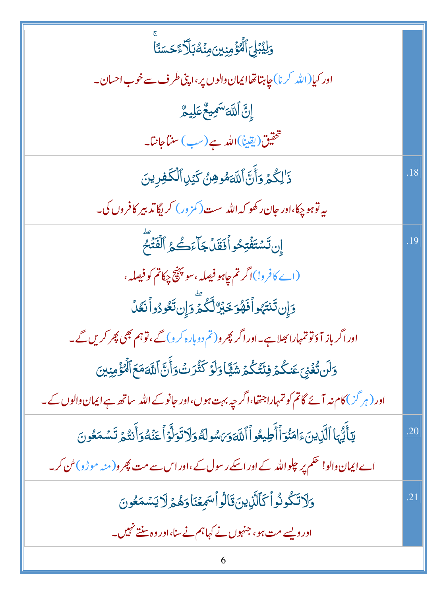| وَلِيُبۡلِٓ ٱلۡۡفَوۡمِنِینَمِنۡكُہَٰٓلَآءَۡحَسَنَاۤ                                                          |     |
|--------------------------------------------------------------------------------------------------------------|-----|
| اور کیا(الله کرنا) چاہتا تھاایمان والوں پر ،اپنی طرف سے خوب احسان۔                                           |     |
| ٳۣڹ <mark>ٞ</mark> ٲڵ <del>ڸ</del> ۜٙؾ <sup>ۺ</sup> ڮؠۼ۠؏ؘڸۑؖۿ۠                                              |     |
| تتحقيق(يقيناً)الله ہے(سب) سنتاجانتا۔                                                                         |     |
| ذَٰلِكُمۡ وَأَنَّ اللَّهَمُوهِنُ كَيۡلِ ٱلۡكَٰفِرِينَ                                                        | .18 |
| ىيەتوہو چكا،اور جان ركھو كەاللە سست(كمزور) كريگاتد بىر كافروں كې۔                                            |     |
| إِن تَسْتَفُتِحُواْفَقَلَ جَآءَكُمُ ٱلْفَتَٰحَ                                                               | 19  |
| (اے کافرو!)اگر تم چاہو فیصلہ ، سو پہنچ چکاتم کو فیصلہ ،                                                      |     |
| دَإِن تَنتَهُواْفَهُوَ خَيْرٌ لَّكُمَّ وَإِن تَعُودُواْ نَعُلُ                                               |     |
| اور اگر باز آؤتو تمہارا بھلاہے۔اور اگر پھر و( تم دوبارہ کر د) گے ،تو ہم بھی پھر کریں گے۔                     |     |
| وَلَن تُغۡىٰٓعَنكُمۡ فِئۡتُكُمۡ شَيَّاۚ وَلَوۡ كَثُّرَتۡ وَأَنَّ ٱللَّٰهَمَعَ ٱلۡمُؤۡمِنِينَ                 |     |
| اور (ہر گز) کام نہ آئے گاتم کو تمہاراجتھا،اگر چہ بہت ہوں،اور جانوکے اللہ ساتھ ہے ایمان والوں کے۔             |     |
| يٓ أَيُّهَا ٱلَّذِينَ ءَامَنُوٓ ٱأَطِيعُواۡ ٱللَّهَوَىَسُولَهُ وَلَاتَوَلَّوۡ أَعَنۡهُوَأَنۡتُمۡ تَسۡمَعُونَ | .20 |
| اے ایمان دالو! حکم پر جلواللّٰہ کے اور اسکے رسول کے ،اور اس سے مت پھر و( منہ موڑو)سُ کر۔                     |     |
| <u>وَلَاتَكُونُواْ كَٱلَّٰٓ</u> ٰٓنِينَ قَالُواْسَمِعۡنَاوَهُمۡ لَايَسۡمَعُونَ                               | .21 |
| اور ویسے مت ہو، جنہوں نے کہاہم نے سنا،اور وہ سنتے نہیں۔                                                      |     |
|                                                                                                              |     |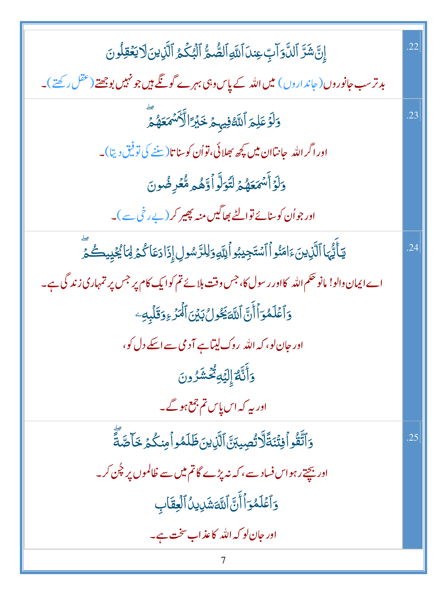| إِنَّ شَرَّ ٱلدَّوَالِّ عِندَ ٱللَّهِ ٱلصُّمُّ ٱلۡبُكۡمُ ٱلَّٰٓذِينَ لَا يَعۡقِلُونَ            | .22 |
|-------------------------------------------------------------------------------------------------|-----|
| بد ترسب جانوروں ( جاند اروں ) میں اللہ کے پاس وہی بہرے گوتگے ہیں جو نہیں بوجھتے (عقل رکھتے )۔   |     |
| دَلَوۡ عَلِمَ ٱللَّهُ فِيہِمۡ خَبۡرَۚ ٱلۡأَنۡ ۡمَعَهُمۡ ۚ                                       | .23 |
| اور اگر الله  جانباان میں کچھ بھلائی، تواُن کوسنا تا $(\vec{x},\vec{z})$ تو فیق دیتا)۔          |     |
| وَلَوَأَلَّمَعَهُمۡ لَتَوَلَّوۡأَوَّهُمۡ مُّعۡرِضُونَ                                           |     |
| اور جواُن کوسنائے توالٹے بھاگیں منہ پھیر کر(بے رخی سے)۔                                         |     |
| يٓٲٛێ۠ؠؘٵٱڷۜڒؚؾڹؘۦٙٳڡؘڹؙۅٱٲۺؾؘڿؽڹؗۅٱڸڐۅؘڶؚڵڗؐۺۅڸٳؘؚۮؘٳۮڡؘٲػٛۮٙڶۣٲڲؙۼٛۑۣۑڴ؞ٙؖ                    | .24 |
| اے ایمان دالو! مانو حکم اللہ کااور رسول کا، جس وقت بلائے تم کوایک کام پر جس پر تمہاری زندگی ہے۔ |     |
| وَٱعۡلَمُوَٱأَنَّ ٱللَّٰٓ يَكُولُ بَيۡنَ ٱلۡمَزۡ ءِوَقَلۡبِهِۦ                                  |     |
| اور جان لو، کہ اللہ روک لیتاہے آدمی سے اسکے دل کو،                                              |     |
| <u>وَ</u> أَنَّهُمْ إِلَيۡهِ ثُّکۡشَرُونَ                                                       |     |
| اور یہ کہ اس پاس تم جمع ہوگے۔                                                                   |     |
| وَٱتَّقُواۡفِتۡنَةَلَّالَتُصِيبَنَّ ٱلَّٰٓنِينَ ظَلَمُواۡ مِنكُمۡ خَاصَّةً                      | .25 |
| اور بیچتے رہواس فساد سے، کہ نہ پڑے گاتم میں سے ظالموں پر چُن کر۔                                |     |
| وَٱعۡلَمُوٓأَأَنَّ ٱللَّهَشَٰٓ لِنُٱلۡلِّعَٰٓابِ                                                |     |
| اور جان لو که الله کاعذاب سخت ہے۔                                                               |     |
|                                                                                                 |     |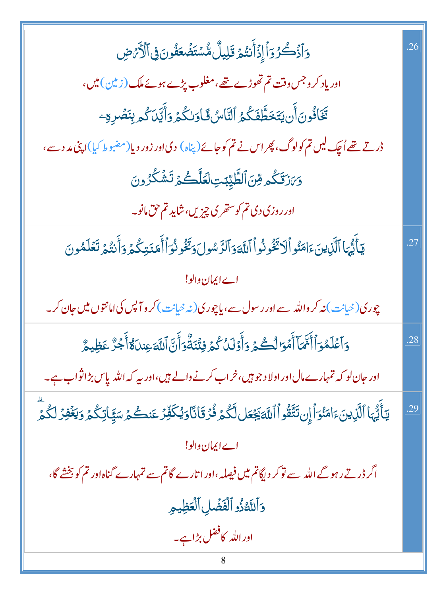| 5آذَكُرُوٓاۡإِذۡأَنتُمۡ قَلِيلٌ مُّسۡتَضۡعَفُونَ فِى ٱلۡأَرۡصِ                                                    | .26 |
|-------------------------------------------------------------------------------------------------------------------|-----|
| اور یاد کر وجس وقت تم تھوڑے تھے،مغلوب پڑے ہوئے ملک (زیلن) میں،                                                    |     |
| تَخَافُونَ أَن يَتَخَطَّفَكُمُ ٱلنَّاسُ فَاوَلكُمۡ وَأَيَّلَ كُم بِنَصۡرِهِۦ                                      |     |
| ڈرتے تھے اُچک لیں تم کولوگ، پھر اس نے تم کو جائے(پناہ) دی اور زور دیا(مضبوط کیا)اپنی مد دسے،                      |     |
| وَىَرْقَكُمْ وِّنَ ٱلطَّيِّبَتِ لَعَلَّكُمۡ تَشۡكُرُونَ                                                           |     |
| اور روزی دی تم کوستحری چیزیں، شاید تم حق مانو۔                                                                    |     |
| يَأَيُّهَا ٱلَّذِينَءَامَنُواۡلَاتَّخُونُواۡ ٱللَّهَوَٱلرَّسُولَ وَتَخُونُوَٱأۡلَمَنَتِكُمۡ وَأَنتُمۡ تَعۡلَمُونَ | .27 |
| اے ایمان دالو!                                                                                                    |     |
| چوری(خیانت) نه کر والله سے اور رسول سے، یاچوری(نه خیانت) کر و آپس کی امانتوں میں جان کر۔                          |     |
| وَٱعۡلَمُوٓاۡأَنَّهَآ أَمۡوَالۡكُمۡ وَأَوۡلَٰٓاُ كُمۡ فِتُنَةُّوَأَنَّ ٱللَّهَ عِندَاوُّآأَجُرٌ عَظِيمٌ           | .28 |
| اور حان لو کہ تمہارے مال اور اولا د جو ہیں،خراب کرنے والے ہیں،اور بیہ کہ اللہ پاس بڑ اثواب ہے۔                    |     |
| يٓٲٛێ۠ؠؘٵٱڷۜڹۣؠڹؘۦؘٳڡؘڹ۠ۅؘٲٳۣڹؾۜٙڦۢۏٱٲڷڶٲڲؘۼؘڡڶڷۜػۢۮؚۏؙٛۯؘقؘٳڹ۬ٲۏێۢػڣؚٞۯٙۼڹڂٛۮؚڛؘۜۑٗٳڗػؙۮؚۏؾۼؙڣۯڶػۢۮٙۨ            | .29 |
| اے ایمان دالو!                                                                                                    |     |
| اگر ڈرتے رہوگے اللہ سے توکر دیگاتم میں فیصلہ ،اور اتارے گاتم سے تمہارے گناہ اور تم کو بخشے گا،                    |     |
| وَاللَّهُذُو الْفَضَٰلِ الْعَظِيمِ                                                                                |     |
| اور اللہ کافضل بڑاہے۔                                                                                             |     |
| 8                                                                                                                 |     |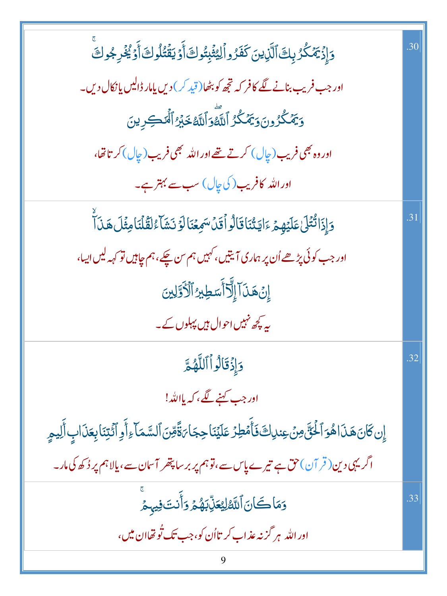| وَإِذۡ يَمۡكُرُ بِكَ ٱلَّذِينَ كَفَرُواۡلِيُّبِتُوكَأَوۡ يَقۡتُلُوكَأَوۡ يُخۡرِجُوكَ                                      | .30 |
|---------------------------------------------------------------------------------------------------------------------------|-----|
| اور جب فریب بنانے لگے کافر کہ تجھ کو بٹھا(قید کر) دیں یامار ڈالیں یا نکال دیں۔                                            |     |
| وَيَمۡكُرُونَوَيَمۡكُرُ ٱللَّهۡوَٱللَّهُ خَيۡرُ ٱلۡمَٰكِرِينَ                                                             |     |
| اور وہ بھی فریب (چال) کرتے تھے اور اللہ بھی فریب (چال) کر تا تھا،                                                         |     |
| اوراللہ کافریب( کی چال) سب سے بہتر ہے۔                                                                                    |     |
| وَإِذَا تُتْلَىٰ عَلَيۡهِمۡ ءَايَتُنَاقَالُواۡقَلۡسَمِعۡنَالَوۡ نَشَآءُكَقَلۡنَامِثۡلَ هَذَآ                              | .31 |
| اور جب کوئی پڑھے اُن پر ہماری آیتیں، کہیں ہم س چکے، ہم چاہیں تو کہہ لیں ایسا،                                             |     |
| إِنۡ هَـٰٓنَاۤۤ إِلَّآ أَسَطِيرُ ٱلۡأَوَّلِينَ                                                                            |     |
| یہ ی <del>چ</del> ھ نہیں احوال ہیں پہلوں کے۔                                                                              |     |
| وَإِذْقَالُواْاللَّهُمَّ                                                                                                  | .32 |
| اور جب <u>کہنے لگے</u> ، کہ پ <u>ا</u> اللّٰہ!                                                                            |     |
| إِن كَانَ هَذَاهُوَ ٱلْخُنَّ مِنۡ عِندِاكَ فَأَمۡطِرۡ عَلَيۡنَا حِجَاۙءَةَّقِنَ ٱلسَّمَآءِ أَوِ ٱئۡتِنَابِعَذَابِ أَلِيمِ |     |
| اگریہی دین( قر آن)حق ہے تیرے پاس سے،قوہم پر برسا پتھر آسان سے،یالاہم پر دُکھ کی مار۔                                      |     |
| وَمَاكَانَ ٱللَّهُ لِيُعَلِّبَهُمْ وَأَنتَ فِيهِمْ                                                                        | .33 |
| اور الله بر گز نه عذاب کر تااُن کو،جب تک تُو تھاان میں،                                                                   |     |
|                                                                                                                           |     |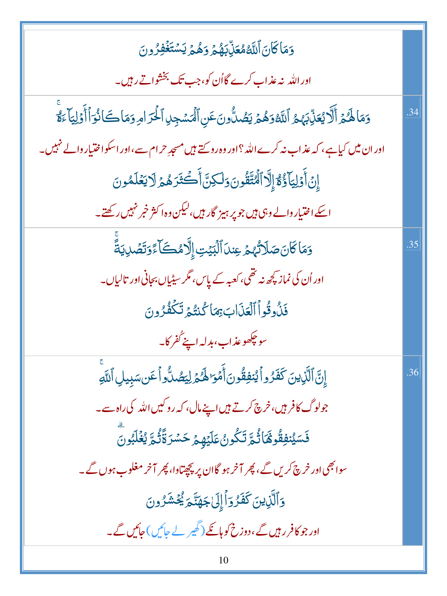| وَمَاكَانَ ٱللَّهُمُعَلِّلِبَهُمۡ وَهُمۡ يَسۡتَغۡفِرُونَ                                                                   |     |
|----------------------------------------------------------------------------------------------------------------------------|-----|
| اور اللہ نہ عذاب کرے گااُن کو، جب تک بخشواتے رہیں۔                                                                         |     |
| وَمَا لَهُمْ أَلَّا يُعَلِّبَهُمُ اللَّهُ وَهُمْ يَصُلُّونَ عَنِ ٱلْمَسْجِلِ ٱلْحَرَ امِرِ وَمَا كَانُوَ أَأْوَلِيَا ءَوَّ | .34 |
| اور ان میں کیا ہے، کہ عذاب نہ کرے اللہ ؟ اور وہ روسے ہیں مسجدِ حرام سے،اور اسکو اختیار والے نہیں۔                          |     |
| إِنۡ أَوۡلِيَآؤُمُّۚ إِلَّآ ٱلۡتَّقُونَ وَلَٰٓكِنَّ أَكۡقُرَهُمۡ لَا يَعۡلَمُونَ                                           |     |
| اسکے اختیار دالے وہی ہیں جو پر ہیز گار ہیں،لیکن وہ اکثر خبر نہیں رکھتے۔                                                    |     |
| وَمَاكَانَ صَلَاتُهُمْ عِندَ ٱلْبَيْتِ إِلَّامُكَا ءًَوَتَصۡلِيَةً                                                         | .35 |
| اور اُن کی نماز کچھ نہ تھی، کعبہ کے پاس، مگر سیٹیاں بجانی اور تالیاں۔                                                      |     |
| فَلُوقُواُ ٱلْعَذَابَ بِمَا كُنتُمَ تَكَفُرُونَ                                                                            |     |
| سو چڪھو عذاب، بدلہ اپنے گفر کا۔                                                                                            |     |
| إِنَّ ٱلَّذِينَ كَفَرُواْ يُنفِقُونَ أَمۡوَا لَهُمۡ لِيَصُلُّواۡ عَن سَبِيلِ ٱللَّهِ                                       | .36 |
| جولوگ کا فرمیں،خرچ کرتے ہیں اپنے مال، کہ روکیں اللہ کی راہ سے۔                                                             |     |
| <b>ۮٙ</b> ؊ٟ۠ڹڧؚڦؙۄۿؘٵڐۢ۫ڋڗٙڬ۠ؗۅڽ۠ڡؘڶؽٙۿ۪ؽٙڂۺٙۯۊؘ۠ۧڎ۠۠ڋؠ۠ۼ۬ڶڹٞۅڽؖ                                                          |     |
| سوا بھی اور خرچ کریں گے ، پھر آخر ہو گاان پر پچچتاوا، پھر آخر مغلوب ہوں گے۔                                                |     |
| <u>و</u> َٱلَّٰٓأ <i>ٓ</i> نِينَ كَفَرُوٓاۡۖ إِلَىٰۖ جَهَنَّمَ يُۡحَشَّرُونَ                                               |     |
| اور جو کافر رہیں گے ، دوزخ کو ہانکے ( گھیر لے جائیں ) جائیں گے۔                                                            |     |
| 10                                                                                                                         |     |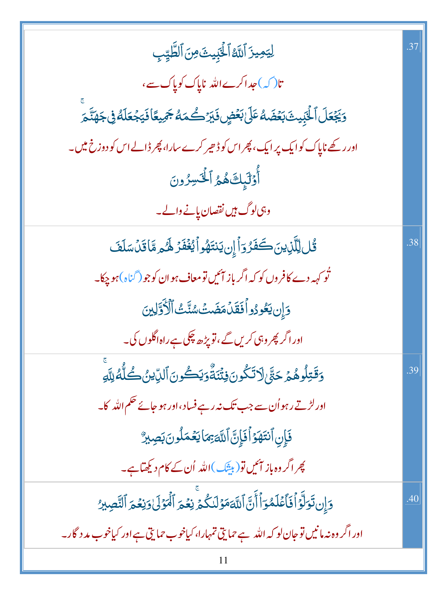| لِيَهِيزَ ٱللَّهُ ٱلْخَبِيثَ مِنَ ٱلطَّيِّبِ                                                       | .37 |
|----------------------------------------------------------------------------------------------------|-----|
| تا( کہ)عداکرےاللہ ناپاک کوپاک سے،                                                                  |     |
| <i>ۏڲۼ۫ۼ</i> ڶٲڶۘڹؚؠؽڎؘڹۼ۫ڞؘڡ۠ػڶڹۼؙڞۣۣۏؘؾۯڴڡؘڡ۠ <sup>ڮ</sup> ۄڽڡٙٲڡؘؾؗڿۘۼڶڡ۠ڣ۫ڿۿڐؘؖ <sub>ۿ</sub>   |     |
| اور رکھے ناپاک کوایک پر ایک، پھر اس کوڈ ھیر کرے سارا، پھر ڈالے اس کو دوزخ میں۔                     |     |
| أَوْلَٰٓيِكَ هُمُ ٱلۡۡتَسِرُونَ                                                                    |     |
| وہی لوگ ہیں نقصان پانے والے۔                                                                       |     |
| <u>ػ۠ڶڸڷۜڶؚٳؾڹؘڂۘڡؘ<sup>ۣ</sup>ۯڗٲٳۣڹؾٮٚۊۿۅٲؽۼ۫ڡٞۯڟۘ<sub>ٛۿ</sub>ۄٞٵۊؘڹٙڛؘڶڡؘ</u>                  | .38 |
| ٹو کہہ دے کافروں کو کہ اگر باز ایمیں تومعاف ہو ان کوجو (گناہ)ہو چکا۔                               |     |
| دَإِن يَعُودُواْفَقَلَهَضَتَ سُنَّتَ ٱلْأَوَّلِينَ                                                 |     |
| اور اگر پھر وہی کریں گے ،تو پڑھ چکی ہے راہ اگلوں کی۔                                               |     |
| <b>5قَتِلُوهُمۡ حَتَّىٰ لَاتَكُونَ فِتَّنَةٌ وَيَكُونَ ٱلدِّينُ كُلُّهُ لِلَّهِ</b>                | .39 |
| اور لڑتے رہواُن سے جب تک نہ رہے فساد،اور ہو جائے حکم اللہ کا۔                                      |     |
| فَإِنِ ٱنتَهَوۡ أَفَإِنَّ ٱللَّهَ بِمَا يَعۡمَلُونَ بَصِبِيرٌ                                      |     |
| پھراگر وہ باز آئیں تو( بی <u>ش</u> ک)اللہ اُن کے کام دیکھتاہے۔                                     |     |
| دَإِن تَوَلَّوَ أَفَأَعۡلَمُوٓ أَأَنَّ ٱللَّهَ مَوۡلَدَكُمۡ نِعۡمَ ٱلۡمَوۡلَىٰ وَنِعۡمَ ٱلنَّصِيرُ | .40 |
| اور اگر وہ نہ مانیں تو جان لو کہ اللہ ہے حمایتی تمہارا، کیاخوب حمایتی ہے اور کیاخوب مد د گار۔      |     |
| 11                                                                                                 |     |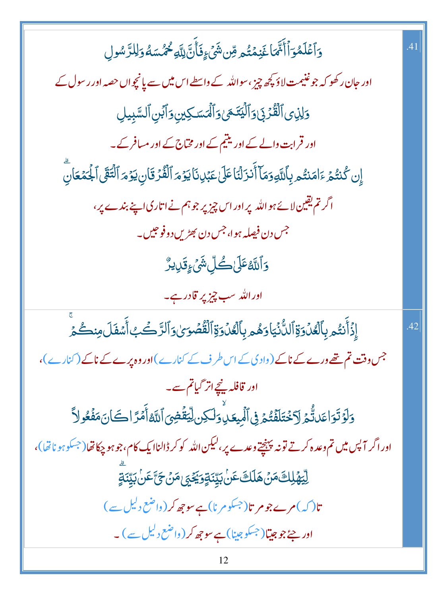| <u>و</u> َٱعۡلَمُوٓٲٲۜۥٝٞۜ <i>ۘۿ</i> ٵۼؘڹڡۡتُم مِّن شَىۡۦٍفَأَنَّ لِلَّهِ خُمُّسَهُ وَلِلرَّسُولِ                         | .41 |
|---------------------------------------------------------------------------------------------------------------------------|-----|
| اور <mark>جان رکھو کہ جو غنیمت</mark> لاؤ <del>کچھ</del> چیز ،سواللّٰہ کے واسطے اس <b>می</b> ں سے پانچواں حصہ اور رسول کے |     |
| وَلِذِى ٱلْقُرۡ بِىٰ وَٱلۡيَتَمَىٰ وَٱلۡمَسَكِينِ وَٱبۡنِ ٱلسَّبِيلِ                                                      |     |
| اور قرابت والے کے اور یتیم کے اور مخاج کے اور مسافر کے۔                                                                   |     |
| إِن كُنتُمُ ءَامَنتُم بِأَللَّهِ وَمَآ أَنزَلْنَاعَلَىٰ عَبۡلِ نَا يَوۡمَ ٱلۡقُرۡ قَانِ يَوۡمَ ٱلۡتَقَى ٱلۡحَمَعَانِ      |     |
| اگر تم یقین لائے ہواللہ پر اور اس چیز پر جو ہم نے اتاری اپنے بندے پر،                                                     |     |
| جس دن فیصله ہوا، جس دن بھڑیں دوفوجیں۔                                                                                     |     |
| <b>5</b> ٲٮ۠ڷڠٷٙڶ؎۠ڷؚۺ۬ؽٙۦؚٟۊؘڔؠڒ۠                                                                                        |     |
| اور الله سب <del>چیز پ</del> ر قادر ہے۔                                                                                   |     |
| ٳؚۣۮؘٲۜٮٛؾ۠ۄۑؚٲڷڡ۠ۯؗۏۊٚٲڵڷ۠ۯ۬ؾٵۏۿۄۑؚٲڷڠۯۏۊٚٲڷڦؙڞؘۏؽ؋ٲڵڗؖ؎ؗٙڲٲٞۺڡؘڶؘۄڹٮڴؽۨ                                                 | .42 |
| جس وقت تم تھے ورے کے ناکے (وادی کے اس طرف کے کنارے)اور وہ پرے کے ناکے (کنارے)،                                            |     |
| اور قافلہ پنچےانر گیاتم سے۔                                                                                               |     |
| وَلَوۡتَوَاعَدَتُّمَ لَاۡخُتَلَفَنُّمَ فِى ٱلۡبِيعَـٰابِۚوَلَٰكِن لِيَّقۡضِىٓ ٱللَّهُ أَمۡرَّ الصَّانَ مَفۡعُولاً         |     |
| اور اگر آپس میں تم وعد ہ کرتے تونہ پہنچتے وعدے پر ،لیکن اللہ کو کر ڈالناایک کام،جو ہو چکا تھا(جسکو ہو ناتھا)،             |     |
| ڵۣؾۿؘڸڬٙڡؘۜڽٙۿڶڶڰؘٸؙڹێۣٮٞۊٟۮؘڲ <sub>ؘڲ</sub> ؈ٞؿؘۜٞٸؘؙ؉ؚؾۣٚٮؘۊٟ                                                           |     |
| تا( کہ)مرےجومر تا( <sup>جسک</sup> ومرنا)ہےسوچھ کر (واضع دلیل سے )                                                         |     |
| ا <b>ور جۂ جو جیتا</b> (جسکو جینا) ہے سوچھ کر (واضع د <sup>لی</sup> ل سے ) ۔                                              |     |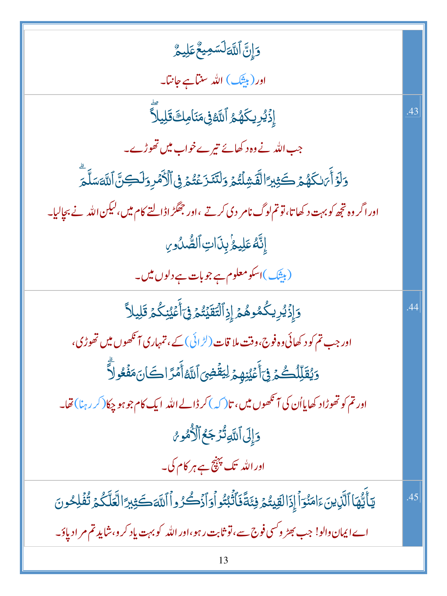| وَإِنَّ ٱللَّهَ لَسَمِيعٌ عَلِيمٌ                                                                     |     |
|-------------------------------------------------------------------------------------------------------|-----|
| اور (بیش) الله سن <del>ب جانب</del> ا۔                                                                |     |
| ٳؚؚۮ۬ <i>ؽ۠ڔ</i> ؚۑػۿ <sub>۠</sub> ۿۯٱڶڶ <i>ٙ</i> ۠؋ۣ۬ڡؘڹؘٲڡؚڬ <b>ٙڐ</b> ؘڸۑڵؖٲۜ                      | .43 |
| جب اللہ نے وہ د کھائے تیرےخواب میں تھوڑے۔                                                             |     |
| وَلَوۡ أَمَالِكُهُمۡ كَثِيرٗ الۡقَشِلۡتُمۡ وَلَنَنَزَعۡتُمۡ فِى ٱلۡأَمۡرِ وَلَكِنَّ ٱللَّهَسَلَّمَ    |     |
| اور اگر وہ تجھ کو بہت د کھا تا، تو تم لوگ نامر دی کرتے ،اور جھگڑ اڈالتے کام میں ،لیکن اللہ نے بچالیا۔ |     |
| إِنَّهُ عَلِيعُ بِذَاتِ ٱلصُّدُورِ                                                                    |     |
| (بیشک)اسکومعلوم ہے جو بات ہے دلوں میں۔                                                                |     |
| وَإِذَيْرِيكُمُوهُمَ إِزِٱلۡتَقَيۡتُمۡۚ فِىٓأَعۡيُنِكُمۡ قَلِيلاً                                     | .44 |
| اور جب تم کو د کھائی وہ فوج،وقت ملا قات ( <sup>لڑ</sup> ائی) کے ، تمہاری آنکھوں میں تھوڑی،            |     |
| وَيُقَلِّلُكُمۡ فِىَ أَعۡيُنِهِمۡ لِيَقۡضِىَ ٱللَّهُ أَمۡرَ اكَانَ مَفۡعُولاً                         |     |
| اور تم کو تھوڑاد کھایااُن کی آنکھوں میں، تا( کہ )کر ڈالے اللہ ایک کام جو ہو چکا( کر رہنا) تھا۔        |     |
| وَإِلَى ٱللَّهِ تُزَجَعُ ٱلْأُمُوسُ                                                                   |     |
| اور اللہ تک پہنچ ہے ہر کام کی۔                                                                        |     |
|                                                                                                       |     |
| يٓٲۢێۢۿؘٳٲڷۜڕ۬ؾڹؘٵؚڡؘٮؙ۫ۏٲٳٳؘٳڶۊؠؾؙۮۏؚۼؘڐؘۘۏ۬ٲڎۘٲڋۮڴۯۅٲٲڷؘڡٙڪؘؿؚؾٵڶڂۜڷػؙۮڟؙڣڵڂۏڹ                      | .45 |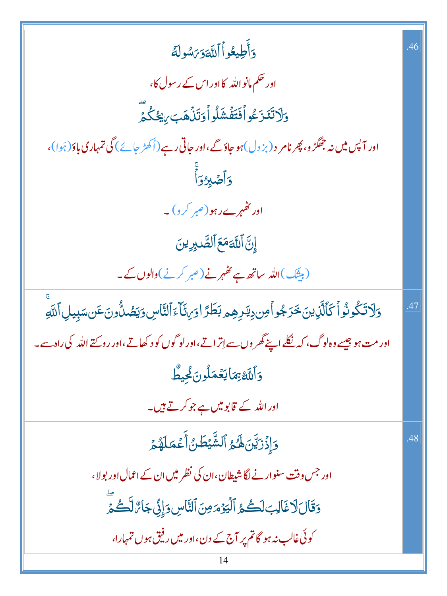| وَأَطِيعُواْ ٱللَّةَ وَىَسُولَهُ                                                                                         | .46 |
|--------------------------------------------------------------------------------------------------------------------------|-----|
| اور حکم مانواللّٰہ کااور اس کے رسول کا،                                                                                  |     |
| <u>و</u> َلَاتَنَزَعُواْفَتَفَّشَلُواْوَتَذُهَبَ <i>بِي</i> ْكُكُمْ                                                      |     |
| اور آ <sup>ب</sup> یں میں نہ جھگڑ و، پھر نامر د (بز دل)ہو جاؤگے،اور جاتی رہے (اُکھڑ جائے ) گی تمہاری باؤ (ہَوا)،         |     |
| وَأَصْلِاوَأَ                                                                                                            |     |
| اور کٹیم ے رہو(صبر کر د) ۔                                                                                               |     |
| إِنَّ اللَّهَ مَعَ الصَّدِينَ                                                                                            |     |
| (بیٹَک)اللّٰہ ساتھ ہے کٹھہر نے(صبر کرنے)والوں کے۔                                                                        |     |
| <u>وَلَا</u> تَكُونُواْكَٱلَّٰزِينَ خَرَجُواْمِن دِيَرِهِمِ بَطَرًا وَرِئَكَاءَٱلنَّاسِ وَيَصُلُّونَ عَن سَبِيلِ ٱللَّهِ | .47 |
| اور مت ہو جیسے وہ لوگ، کہ نکلے اپنے گھر وں سے اِتراتے،اورلو گوں کو د کھاتے،اور روپے اللہ کی راہ سے۔                      |     |
| <u>وَ</u> ٱللَّهُ بِمَايَعۡمَلُونَكِيطٗ                                                                                  |     |
| اور اللہ کے <b>قابومیں ہے</b> جو کرتے ہیں۔                                                                               |     |
| دَإِذَرَيَّنَ لَهُمُ ٱلشَّيْطَنُ أَعْمَلَهُمْ                                                                            | .48 |
| اور جس وقت سنوارنے لگا شیطان،ان کی نظر میں ان کے اعمال اور بولا،                                                         |     |
| وَقَالَ لَا غَالِبَ لَكُمُ ٱلۡيَوۡمَونَ ٱلنَّاسِ وَإِنِّ جَارَّ لَّكُمَّ                                                 |     |
| کوئی غالب نہ ہو گا تم پر آج کے دن،اور میں رفیق ہوں تمہارا،                                                               |     |
| 14                                                                                                                       |     |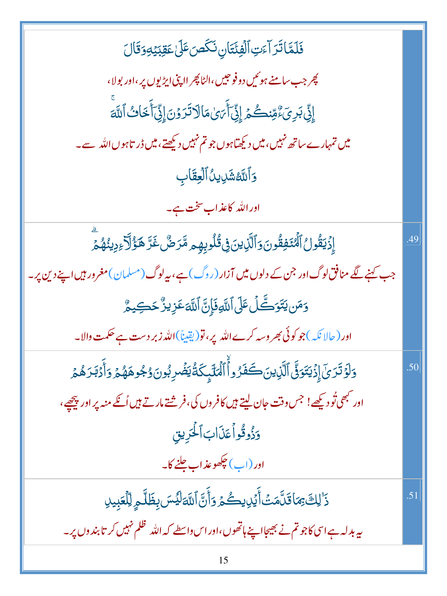| فَلَمَّاتَرَ آءَتِ ٱلْفِئَتَانِ نَكَصَ عَلَىٰ عَقِبَيْهِ وَقَالَ                                           |     |
|------------------------------------------------------------------------------------------------------------|-----|
| چر جب سامنے ہوئیں دو فوجیں،الٹا پھر ااپنی ایڑیوں پر،اور بولا،                                              |     |
| إِنِّي بَرِيَءٌ مِّنكُمْ إِنِّيَ أَيَنِ مَالَاتَرَوْنَ إِنِّيَ أَخَاثُ اللَّهَ                             |     |
| میں تمہارے ساتھ نہیں،میں دیکھتاہوں جو تم نہیں دیکھتے،میں ڈر تاہوں اللہ سے۔                                 |     |
| <b>وَٱللَّاشَلِيلُٱلۡعِقَابِ</b>                                                                           |     |
| اور الله <mark>کاعذ اب سخت ہے۔</mark>                                                                      |     |
| ٳؚۣۯۡؾقۢۏڵٱڷؙ <i>ٮ۠ؿٙ</i> ڣؚڦۢۏڽؘۏٲڷۜڹۣؾڹ؋ۣڐٛڶ۠ۏڽؚۿؚۣ <sub>ڡ</sub> ڡۜٞڗڞ۠ۼؘڗؐۿٷٝٳۜؖڒۧۦؚۏؚۑڹ۠ۿؙؽٙۨ          | 49  |
| جب کہنے لگے منافق لوگ اور جن کے دلوں میں آزار (روگ)ہے، بیرلوگ (مسلمان)مغرور ہیں اپنے دین پر۔               |     |
| <b>وَمَن يَتَوَكَّلْ عَلَى ٱللَّهِ فَإِنَّ ٱللَّهَ عَزِيزٌ حَكِيمٌ</b>                                     |     |
| اور ( حالا نکہ )جو کوئی بھر وسہ کرے اللہ پر، تو (یقیناً)اللہ زبر دست ہے حکمت والا۔                         |     |
| وَلَوۡ تَرَىٰٓ إِذۡ يَتَوَوَّىٰٓ ٱلَّذِينَڪَفَرُواؕؕ ٱلۡمَلَٓبِکَۃُٰیَضۡدِبُونَوۡ جُوهَهُمۡ وَأَدۡبَدَهُمۡ | 50  |
| اور نہمی تُو دیکھے! جس وقت جان لیتے ہیں کافروں کی،فر شتے مارتے ہیں اُنکے منہ پر اور پیچھے،                 |     |
| وَذُوقُواً عَنَابَ ٱلْحَرِيقِ                                                                              |     |
| اور (اب) چکھوعذاب جلنے کا۔                                                                                 |     |
| ذَٰ لِكَ بِمَاقَلَّمَتُ أَيُرِيكُمُ وَأَنَّ اللَّهَ لَيُسَ بِظَلَّمِ لِلْعَبِيلِ                           | .51 |
| ىيەبدلە ہے اسى كاجو تم نے بھیجااپنے ہاتھوں،اوراس داسطے كہ الله ظلم نہيں كر تابند وں پر _                   |     |
| 15                                                                                                         |     |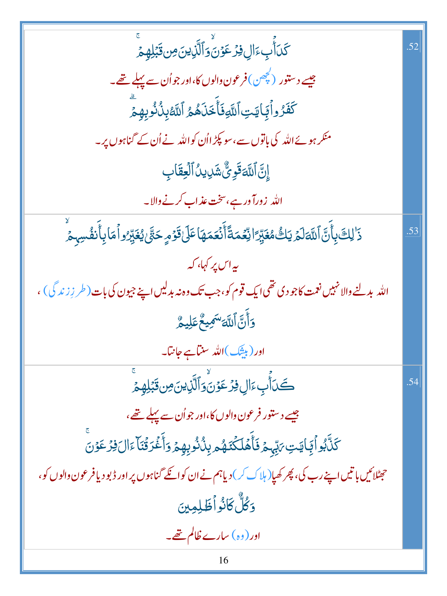| ؘػ <i>ۮ</i> ؘٲ۠ٙٮ۪ءَاڸ؋ؚۯٷڽؘۘۏٲڷؘۜۯؚؠؾؘڝؚۥؿٙڹؚڸۿؚؚ؞ٙ                                                            | .52 |
|-----------------------------------------------------------------------------------------------------------------|-----|
| جیسے دستور (کچھن)فرعون دالوں کا،اور جواُن سے پہلے تھے۔                                                          |     |
| كَفَّرُواْبِجَايَتِٱللَّهِ فَأَخَذَهُمْ ٱللَّهْذِلُّذُوْبِهِمْ                                                  |     |
| منکر ہوئے اللہ کی باتوں سے ،سو پکڑ ااُن کو اللہ نے اُن کے گناہوں پر۔                                            |     |
| إِنَّ ٱللَّحَقَوِيُّ شَرِيلُ ٱلۡعِقَابِ                                                                         |     |
| الله  زورآ در ہے،سخت عذاب کرنے والا۔                                                                            |     |
| ۮٙ <sup>ٚ</sup> ڶڸڰڽؚٲۜٛڽٞٱڷڷ <i>ۊ</i> ڶۿ۩ێڮ۠ڰۿۼۜێۭڗٵڹؚۨۼۘڡؘڐؘٲۧٮ۬ۘۼڡؘۿؘٵػٙڶ؋ٙۏٙۄٟڂڹۢؽ؋ڋێٷڹ۠ۯٵؙڡؘٵۑؚٲۜٮ۫ڨ۠ڛؠؚٯۛ | .53 |
| ىيەاس پر كہا، كە                                                                                                |     |
| الله بدلنے والا نہیں نعمت کاجو دی تھی ایک قوم کو،جب تک وہ نہ بدلیں اپنے جیون کی بات (طر زِ زند گی) ،            |     |
| وَأَنَّ ٱللَّهَ <sup>سَم</sup> ِيعٌ عَلِيمٌ                                                                     |     |
| اور (بیثک)اللہ سنآہے جانتا۔                                                                                     |     |
| ڪَ <sub>ڵ</sub> ٲٛۨٮؚؚۦؘٳڸ؋ؚڒ <sup></sup> ٷڽؘۘۏٲڵؐڒؚؾڽؘ؈ۣۊؘڹؘڸۿؚؽٙ                                              | .54 |
| جیسے دستور فرعون والوں کا،اور جو اُن سے پہلے تھے،                                                               |     |
| ػڶؓڋٳؗ <sup>ٲ</sup> ڲؚٵؾؾؚ <i>؆</i> ؠۨؠح ڟؘۧؖۿؘڶػۘڡؘۿ <sub>ڡ</sub> ۑؚۮؙڎؙڔؚڥؚڿ؋ٲٝۼۘۢڗۊؙڹؘٵۧۦؘٳڶ؋ؚڔؙۼۏڹ          |     |
| حیٹلائیں باتیں اپنے رب کی، پھر کھیا( ہلاک کر ) دیاہم نے ان کوائلے گناہوں پر اور ڈبو دیافر عون والوں کو،         |     |
| وَكُلُّ كَانُواْظَلِمِينَ                                                                                       |     |
| اور (وہ) سارے ظالم تھے۔                                                                                         |     |
| 16                                                                                                              |     |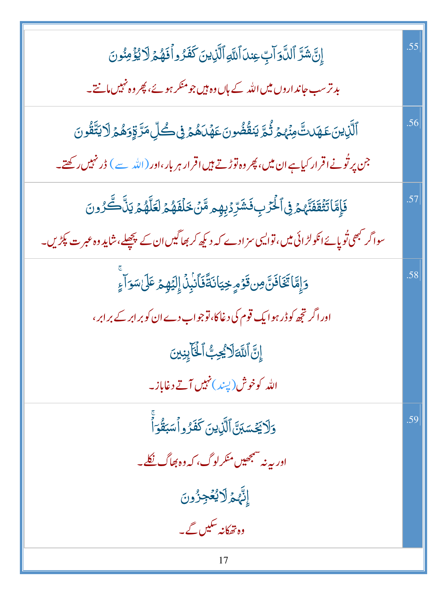| إِنَّ شَرَّ ٱلدَّوَالِّ عِندَ ٱللَّهِ ٱلَّذِينَ كَفَرُواْ فَهُمَّ لَا يُؤْمِنُونَ                                                | .55 |
|----------------------------------------------------------------------------------------------------------------------------------|-----|
| بد ترسب جاند اروں میں اللہ کے ہاں وہ ہیں جو منکر ہوئے، پھر وہ نہیں مانتے۔                                                        |     |
| ٱلَّٰٓزِينَ عَهَدتَّ مِنۡهُمۡ تُٰٓمَّ يَنقُّضُونَ عَهۡدَهُمۡ فِى كُلِّ مَرَّ قِوَهُمۡ لَا يَتَّقُونَ                             | .56 |
| جن پر ٹُونےاقرار کیاہےان میں، پھر وہ توڑتے ہیں اقرار ہر بار،اور (اللّٰہ سے ) ڈرنہیں رکھتے۔                                       |     |
| فَإِمَّاتَثْقَفَنَّهُمْ فِى ٱلْحَرْبِ فَشَرِّدُبِهِم مَّنۡ خَلۡفَهُمۡ لَعَلَّهُمۡ يَنَّاكَّرُونَ                                 | .57 |
| سواگر <sup>کب</sup> ھی تُوپائے انکولڑ ائی میں، توا <i>لی</i> ی سز ادے کہ دیکھ کر بھاگیں ان کے پچھلے،شای <b>د وہ عبر ت پکڑیں۔</b> |     |
| وَإِمَّا تَخَافَنَّ مِن قَوْمٍ خِيَانَةً فَأَنْبِنَ إِلَيْهِمْ عَلَىٰ سَوَآءٍ                                                    | .58 |
| اور اگر تجھ کو ڈر ہوا یک قوم کی دغاکا، توجواب دے ان کوبر ابر کے بر ابر ،                                                         |     |
| إِنَّ اللَّهَ لَا يُجِبُّ الْخَايِنِينَ                                                                                          |     |
| الله کوخوش(پښه)ن <mark>هبیں آتے دغاباز۔</mark>                                                                                   |     |
| وَلَا يَجْسَبَنَّ ٱلَّذِينَ كَفَرُواْسَبَقُوَاْ                                                                                  | .59 |
| اور بہ نہ مسجھیں منکر لوگ، کہ وہ بھاگ <u>نکل</u> ے                                                                               |     |
| إنَّهِمُ لَايُعُجِزُونَ                                                                                                          |     |
| وہ تھکانہ سکیں گے۔                                                                                                               |     |
| 17                                                                                                                               |     |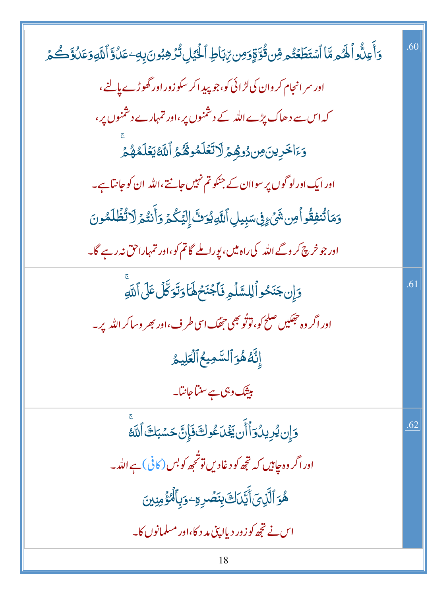| <u>و</u> َأَعِلُّواً لَهُم مَّا ٱسۡتَطَعۡتُم مِّن قُوَّقٍوَمِن رِّبَاطِ ٱلۡيَٰلِ تُرۡهِبُونَ بِهِۦعَلُوَّ ٱللَّهِوَعَلُوَّكُمۡ | .60 |
|--------------------------------------------------------------------------------------------------------------------------------|-----|
| اور سر انجام کر وان کی لڑائی کو، جو پید اکر سکوزور اور گھوڑے پالنے،                                                            |     |
| کہ اس سے دھاک پڑے اللہ کے دشمنوں پر،اور تمہارے دشمنوں پر،                                                                      |     |
| وَءَاخَرِينَ مِن دُوْهِمْ لَاتَعَلَّمُوهُمُّ ٱللَّهُ يَعۡلَمُهُمۡ                                                              |     |
| اور ایک اورلو گوں پر سواان کے جنکو تم نہیں جانتے،اللّٰہ ان کو جانتا ہے۔                                                        |     |
| وَمَاتُنفِقُواْمِن شَيْءٍ فِىسَبِيلِ ٱللَّهِيُوَفَّ إِلَيْكُمْ وَأَنتُمْ لَاتُّظُلَمُونَ                                       |     |
| اور جو خرچ کر وگے اللہ کی راہ میں، بورا ملے گاتم کو،اور تمہاراحق نہ رہے گا۔                                                    |     |
| دَإِن جَنَحُواً لِلسَّلْمِ فَأَجْنَحُهَٰٓاَ دَتَوَكَّلُ عَلَى ٱللَّهِ                                                          | .61 |
| اور اگر وہ حجکیں صلح کو، توٹو بھی حجھک اسی طرف، اور بھر وساکر اللہ پر۔                                                         |     |
| إِنَّهُ هُوَ ٱلسَّمِيعُ ٱلۡعَلِيمُ                                                                                             |     |
| بی <del>ٹ</del> ک وہی ہے سنتا جانتا۔                                                                                           |     |
| <u>وَإِن يُرِيدُوَ</u> أَأَن يَخْدَعُوكَ فَإِنَّ حَسْبَكَ ٱللَّهُ                                                              | .62 |
| اور اگر وہ جاہیں کہ تجھ کو دغادیں تو ٹحجھ کو بس (کافی) ہے اللہ ۔                                                               |     |
| ۿؙۏٲڷۜڕ۬ؠٙٲٚؾۜٙڗڶڰؘڹؚڹؘڞڔۊٷؠٲڷٷ۫ڡڹۣؾ                                                                                           |     |
| اس نے تجھ کو زور دیاا پپی مد د کا،اور مسلمانوں کا۔                                                                             |     |
| 18                                                                                                                             |     |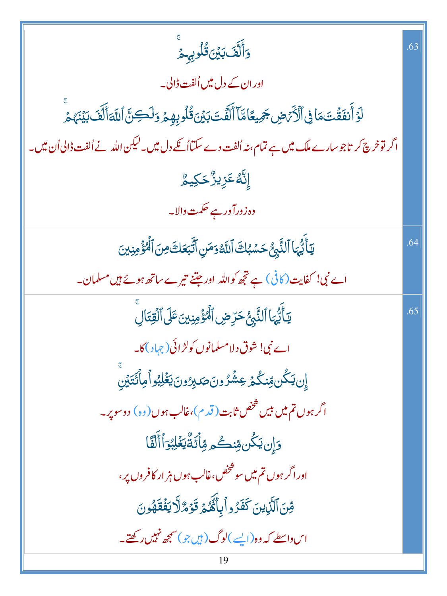| <u>وَ</u> أَلَّفَ بَيۡنَ قُلُوبِهِمَ                                                                  | .63 |
|-------------------------------------------------------------------------------------------------------|-----|
| اور ان کے دل میں اُلفت ڈالی۔                                                                          |     |
| ڶ <b>ۯ</b> ٙٲٛٮ۫ڡؘڨؑؾؘڡؘٳ؈ۣ۫ٲڷۯٞ <i>ۂۻ</i> ڿڽٵؘڡؓٵۧٲڷڡٞؾؘڹؽؘؿڎ۠ڶڔؠؚۿؚؽ؋ڶڝؾٞٲڛٞٲٲڷڡٙڹؽؘڹؘۿؽۨ           |     |
| اگر توخرچ کر تاجوسارے ملک میں ہے تمام، نہ اُلفت دے سکتااُ نکے دل میں۔لیکن اللہ نے اُلفت ڈالی اُن میں۔ |     |
| ٳ۪ڶؓڡ۠ػؘڒؚٟۑڒ۠ۘڂڮۑؖؖ؞۠                                                                                |     |
| وہ زورآ ورہے حکمت والا۔                                                                               |     |
| يَأَيُّهَا ٱلنَّبِنُّ حَسَّبُكَ ٱللَّهُ وَمَنِ ٱتَّبَعَكَ مِنَ ٱلۡهُؤۡمِنِينَ                         | 64  |
| اے نبی! کفایت(کافی) ہے تجھ کواللہ اور جتنے تیرے ساتھ ہوئے ہیں مسلمان۔                                 |     |
| يَأَيُّهَا ٱلنَّبِيُّ حَرِّضِ ٱلۡمُؤۡمِنِينَ عَلَى ٱلۡقِتَالِ                                         | .65 |
| اے نبی! شوق دلامسلمانوں کولڑائی(چہاد)کا۔                                                              |     |
| ٳۣڹڮػ۠ڹڡڹػ۠ٛ۠ڬۛڋۼۺٞٛڒٛۏڹؘؗٙڝؘڹڒٶڹؘؾؘۼ۬ڸڹ۠ۅٲڡ۪ٲٛػؾٙؽۣڹ                                                 |     |
| اگر ہوں <b>تم میں <sup>بی</sup>س <sup>شخص</sup> ثابت ( قد</b> م)،غالب ہوں(وہ) دوسو پر۔                |     |
| <u>وَإِن</u> يَكُن مِّنڪُم مِّأَكَةٌ يَغْلِبُوَ ٱ أَلَّقَا                                            |     |
| اور اگر ہوں تم میں سوشخص،غالب ہوں ہز ار کافروں پر،                                                    |     |
| قِنَ ٱلَّذِينَ كَفَرُواۡبِأَنَّهُمۡ قَوۡمٌ لَّا يَفۡقَهُونَ                                           |     |
| اس واسطے کہ وہ(ایسے )لوگ (ہیں جو)سمجھ نہیں رکھتے۔                                                     |     |
| 19                                                                                                    |     |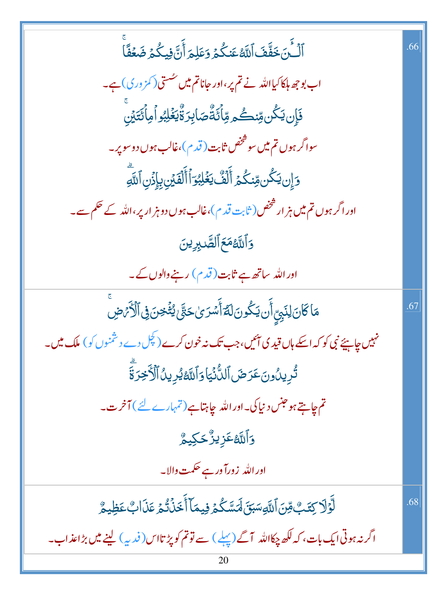ٱلۡشَّنَ خَفَّفَ ٱللَّهُ عَنكُمۡ وَعَلِمَ أَنَّ فِيكُمۡ ضَعۡفًاۚ 66 اب بوجھ ہلکا کیااللہ نے تم پر،اور جاناتم میں سُستی (کمز وری) ہے۔ ڣؘٳ۪ڹڮػؙڹۊڹڂؙۄۊۨٲػؘۊۜ۠ڞؘٳڹؚڒۊٚۘ۠ێۼ۫ڶؚڹ۠ۏٲٙڢٲػؾؘڹۨ سواگر ہوں **تم می**ں سو شخص ثابت ( قد م )،غالب ہوں دوسو پر۔ وَإِن يَكُن مِّنكُمُ أَلَفٌ يَغْلِبُوَأَأَلَّفَيۡنِ بِإِذۡنِ ٱللَّهِ اور اگر ہوں تم میں ہز ار شخص ( ثابت قد م )،غالب ہوں دو ہز ار پر ،اللہ کے حکم سے۔ وَٱللَّهُمَعَ ٱلصَّٰبِرِينَ اور اللہ ساتھ ہے ثابت ( قدم ) رہنے والوں کے۔ مَاكَانَ لِنَبِيِّ أَن يَكُونَ لَهُ أَسْرَىٰ حَتَّىٰ يُثْغِنَ فِى ٱلْأَمَرْضِ .67 نہیں چاہیئے نبی کو کہ اسکے ہاں قید کی آئیں، جب تک نہ خون کرے (<sup>کچ</sup>ل دے دشمنوں کو) ملک میں۔ تُرِيدُونَ عَرَضَ ٱلدُّنۡيَاوَٱللَّهُ يُرِيدُٱلۡأَخِرَةَ تم جايتے ہو جنس د نيا کی۔اور اللہ جاہتا ہے (تمہارے لئے ) آخر ت۔ **وَٱللَّهُ عَزِيزٌ حَكِيمٌ** اور الله <mark>زورآ در ہے حکمت دالا۔</mark> **ڵؖۯؘؚڵ**ٙڒؾؘٮؚ۠؈ۨٞٲڷڸۅ*ۺڹۜؾؘ؋ڛٙ*ؾڴۮڂۣۑڡؘٵۧٲۜڂؘڹؙۛڐ۠ۮۭٙۼؘۮؘٲٮؚ۠ٛۼڟ۪ؠۄ۠ .68 اگر نہ ہوتی ایک بات، کہ لکھ چکااللہ آگے (پہلے ) سے توتم کو پڑ تااس(فدیہ) لینے میں بڑاعذاب۔ 20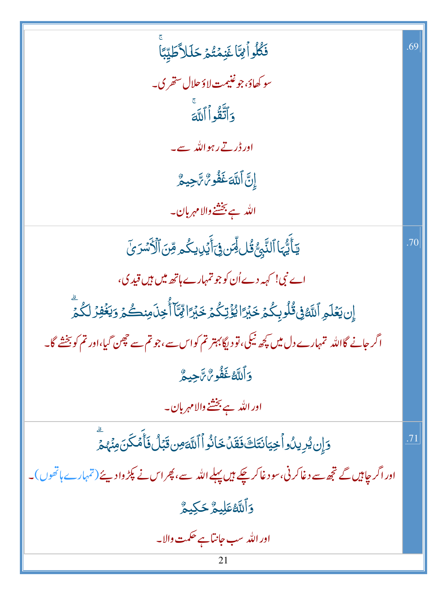| فَكُلُواْئِتَا غَنِمْتُمْ حَلَلاً طَيِّبًا                                                                 | .69           |
|------------------------------------------------------------------------------------------------------------|---------------|
| سو كھاؤ، جو غنيمت لاؤ حلال ستھر ي۔                                                                         |               |
| وَأَتَّقُواْ أَللَّهَ                                                                                      |               |
| اور ڈر تے رہو اللہ سے۔                                                                                     |               |
| إِنَّ اَللَّهَ غَفُو مُّ تَجِيعٌ                                                                           |               |
| الله ہے بخشنے والا مہربان۔                                                                                 |               |
| <b>ؾ</b> ٲؘۜؾ۠ؠؘٵٱڶڹَّبِؾ۠ۊؙڶڵؗڡؚۜڹ؋ؘۣٵؘۧؽؘڸؚؠػۢۄڡؚۜڹؘٱڷۯ <i>ٚۺۯؽٙ</i>                                     | .70           |
| اے نبی! کہہ دے اُن کو جو تمہارے ہاتھ میں ہیں قید ی،                                                        |               |
| إِن يَعۡلَمِ ٱللَّهُ فِى قُلُوبِكُمۡ خَبۡرَاۚ لِمُؤۡتِكُمۡ خَبۡرَاۚ لِمَّآأُخِذَىمِنكُمۡ وَيَغۡفِرۡ لَكُمۡ |               |
| اگر جانے گااللہ تمہارے دل میں کچھ نیکی، تو دیگا بہتر تم کواس سے ،جو تم سے حچھن گیا،اور تم کو بخشے گا۔      |               |
| دَ أَللَّهُ غَفُّو <i>نَّ</i> تَجِيعٌ                                                                      |               |
| اور الله ہے بخشنے والا مہربان۔                                                                             |               |
| وَإِن يُرِيدُواْ خِيَانَتَكَ فَقَدْ خَانُواْ اللَّهَ مِن قَبَلُ فَأَمْكَنَ مِنْهُمْ                        | $\mathcal{T}$ |
| اور اگر چاہیں گے تجھ سے دغاکر نی،سو دغاکر چکے ہیں پہلے اللہ سے، پھر اس نے پکڑ وادیئے (تمہارے ہاتھوں)۔      |               |
| <b>وَٱللَّهُ عَلِيمٌ حَكِيمٌ</b>                                                                           |               |
| اور الله سب جانتا ہے حکمت والا۔                                                                            |               |
| 21                                                                                                         |               |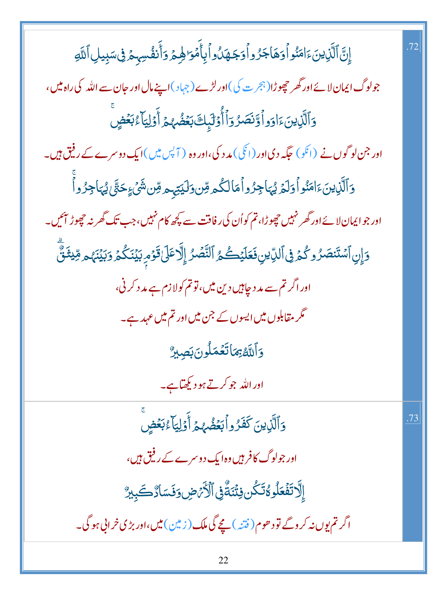| إِنَّ ٱلَّذِينَءَامَنُواْوَهَاجَرُواْوَجَهَدُواْبِأَمَۡوَالِهِمۡوَاۚنَفُسِہِمۡ فِىسَبِيلِٱللَّهِ                   |
|--------------------------------------------------------------------------------------------------------------------|
| جولوگ ایمان لائے اور گھر چھوڑا(ہجر ت کی)اور لڑے (جہاد)اپنےمال اور جان سے اللہ کی راہ میں،                          |
| وَٱلَّٰٓنِينَءَاوَواۡوَّنَصَرُوٓاۡأُوۡلَٰٓبِكَ بَعۡضُهُمۡ أَوۡلِيَآۡءُبَعۡضٍ                                       |
| اور جن لوگوں نے (انکو) حکیہ دی اور (انگی) مد د کی،اور وہ ( آپس میں )ایک دوسرے کے رینق ہیں۔                         |
| وَٱلَّذِينَءَامَنُواْوَلَمَ يُهَاجِزُواْمَالِكُمْ مِّن وَلَيَتِهِمْ مِّن شَيْءٍ حَتَّىٰ يُهَاجِزُواْ               |
| اور جوایمان لائے اور گھر نہیں جھوڑا، تم کواُن کی رفاقت سے پچھ کام نہیں،جب تک گھر نہ حچھوڑ آئیں۔                    |
| دَإِنِ ٱسۡتَنۡصَرُوكُمۡ فِى ٱلدِّيْنِ فَعَلَيۡكُمُ ٱلتَّصۡرُ إِلَّا عَلَىٰ قَوۡمِ بَيۡنَكُمۡ وَبَيۡنَهُم مِّيشَنَّ |
| اور اگر تم سے م <i>د</i> د چاہیں دین میں، تو تم کولا زم ہے مد د کرنی،                                              |
| گر مقابلوں میں ایسوں کے جن میں اور تم میں عہد ہے۔                                                                  |
| وَاللَّهُ بِمَاتَعُمَلُونَ بَصِبِرٌ                                                                                |
| اور اللہ جو کرتے ہو دیکھ <mark>تا ہے۔</mark>                                                                       |
| وَٱلَّذِينَ كَفَرُواۡۚ بَعۡضُهُمۡ أَوۡلِيَآا ۚ بَعۡضٍ                                                              |
| اور جولوگ کافر ہیں وہ ایک دوسرے کے رفیق ہیں،                                                                       |
| إِلَّا تَفۡعَلُو مُّتَكُّن فِتُنَةٌ فِى ٱلۡأَرۡمَضِ وَفَسَادٌ كَبِيرٌ                                              |
| اگر تم یوں نہ کر وگے تو د ھوم( فتنہ ) بچے گی ملک ( زیین ) میں ،اور بڑی خر انی ہو گی۔                               |

 $.72$ 

 $.73$